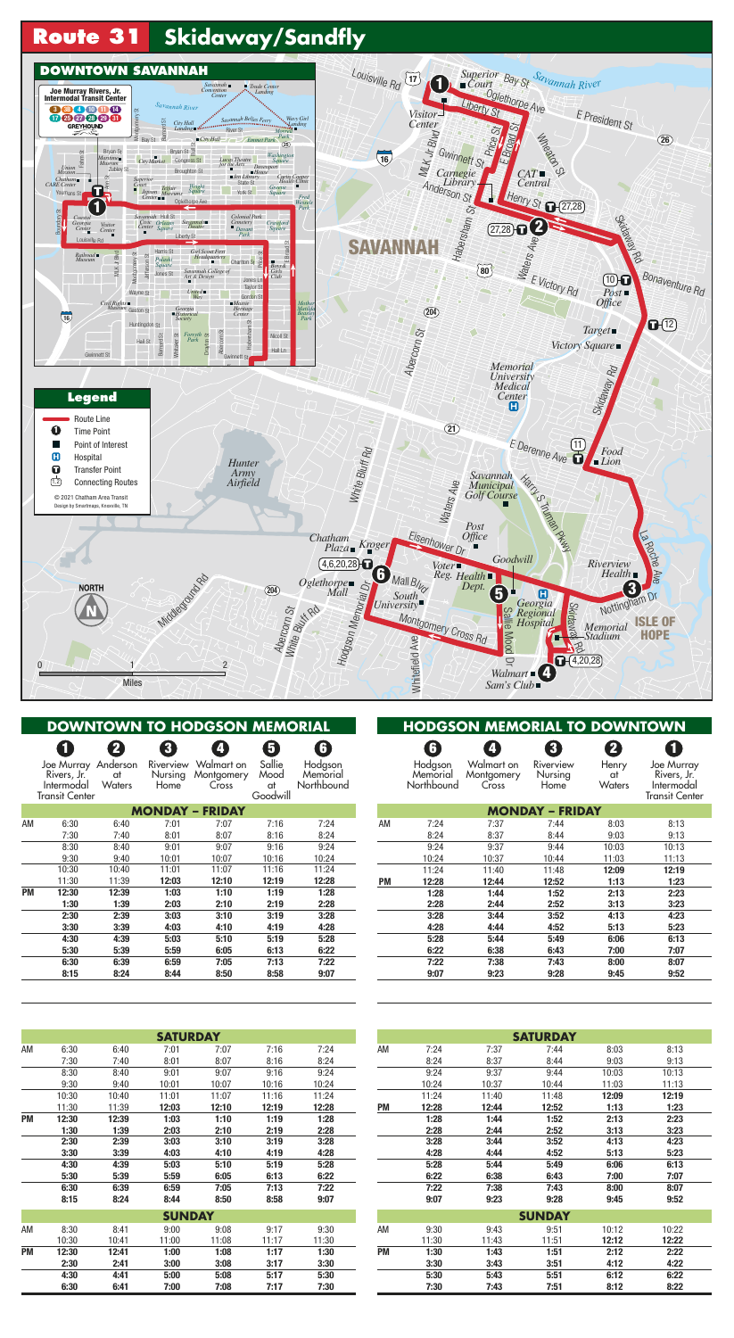### **Route 31 Route 31 Skidaway/Sandfly**



Ta Mem Brid

NTY

|           |                                                                    |                     |                              | <b>DOWNTOWN TO HODGSON MEMORIAL</b> |                                  |                                   |
|-----------|--------------------------------------------------------------------|---------------------|------------------------------|-------------------------------------|----------------------------------|-----------------------------------|
|           |                                                                    | 2                   | 8                            | 4                                   | 5                                | 6                                 |
|           | Joe Murray Anderson<br>Rivers, Jr.<br>Intermodal<br>Transit Center | at<br><b>Waters</b> | Riverview<br>Nursing<br>Home | Walmart on<br>Montgomery<br>Cross   | Sallie<br>Mood<br>at<br>Goodwill | Hodgson<br>Memorial<br>Northbound |
|           |                                                                    |                     |                              | <b>MONDAY - FRIDAY</b>              |                                  |                                   |
| AM        | 6:30<br>7:30                                                       | 6:40<br>7:40        | 7:01<br>8:01                 | 7:07<br>8:07                        | 7:16<br>8:16                     | 7:24<br>8:24                      |
|           | 8:30                                                               | 8:40                | 9:01                         | 9:07                                | 9:16                             | 9:24                              |
|           | 9:30                                                               | 9:40                | 10:01                        | 10:07                               | 10:16                            | 10:24                             |
|           | 10:30                                                              | 10:40               | 11:01                        | 11:07                               | 11:16                            | 11:24                             |
|           | 11:30                                                              | 11:39               | 12:03                        | 12:10                               | 12:19                            | 12:28                             |
| <b>PM</b> | 12:30                                                              | 12:39               | 1:03                         | 1:10                                | 1:19                             | 1:28                              |
|           | 1:30                                                               | 1:39                | 2:03                         | 2:10                                | 2:19                             | 2:28                              |
|           | 2:30                                                               | 2:39                | 3:03                         | 3:10                                | 3:19                             | 3:28                              |
|           | 3:30                                                               | 3:39                | 4:03                         | 4:10                                | 4:19                             | 4:28                              |
|           | 4:30                                                               | 4:39                | 5:03                         | 5:10                                | 5:19                             | 5:28                              |
|           | 5:30                                                               | 5:39                | 5:59                         | 6:05                                | 6:13                             | 6:22                              |
|           | 6:30                                                               | 6:39                | 6:59                         | 7:05                                | 7:13                             | 7:22                              |
|           | 8:15                                                               | 8:24                | 8:44                         | 8:50                                | 8:58                             | 9:07                              |
|           |                                                                    |                     |                              |                                     |                                  |                                   |

|           | ō<br>Hodgson<br>Memorial<br>Northbound | Walmart on<br>Montgomery<br>Cross | Riverview<br>Nursing<br>Home | $\mathbf{z}$<br>Henry<br>at<br><b>Waters</b> | Joe Murray<br>Rivers, Jr.<br>Intermodal<br>Transit Center |
|-----------|----------------------------------------|-----------------------------------|------------------------------|----------------------------------------------|-----------------------------------------------------------|
|           |                                        |                                   | <b>MONDAY - FRIDAY</b>       |                                              |                                                           |
| АM        | 7:24                                   | 7:37                              | 7:44                         | 8:03                                         | 8:13                                                      |
|           | 8:24                                   | 8:37                              | 8:44                         | 9:03                                         | 9:13                                                      |
|           | 9:24                                   | 9:37                              | 9:44                         | 10:03                                        | 10:13                                                     |
|           | 10:24                                  | 10:37                             | 10:44                        | 11:03                                        | 11:13                                                     |
|           | 11:24                                  | 11:40                             | 11:48                        | 12:09                                        | 12:19                                                     |
| <b>PM</b> | 12:28                                  | 12:44                             | 12:52                        | 1:13                                         | 1:23                                                      |
|           | 1:28                                   | 1:44                              | 1:52                         | 2:13                                         | 2:23                                                      |
|           | 2:28                                   | 2:44                              | 2:52                         | 3:13                                         | 3:23                                                      |
|           | 3:28                                   | 3:44                              | 3:52                         | 4:13                                         | 4:23                                                      |
|           | 4:28                                   | 4:44                              | 4:52                         | 5:13                                         | 5:23                                                      |
|           | 5:28                                   | 5:44                              | 5:49                         | 6:06                                         | 6:13                                                      |
|           | 6:22                                   | 6:38                              | 6:43                         | 7:00                                         | 7:07                                                      |
|           | 7:22                                   | 7:38                              | 7:43                         | 8:00                                         | 8:07                                                      |
|           | 9:07                                   | 9:23                              | 9:28                         | 9:45                                         | 9:52                                                      |
|           |                                        |                                   |                              |                                              |                                                           |

**HODGSON MEMORIAL TO DOWNTOWN**

|           |       |       | <b>SATURDAY</b> |       |       |       |
|-----------|-------|-------|-----------------|-------|-------|-------|
| АM        | 6:30  | 6:40  | 7:01            | 7:07  | 7:16  | 7:24  |
|           | 7:30  | 7:40  | 8:01            | 8:07  | 8:16  | 8:24  |
|           | 8:30  | 8:40  | 9:01            | 9:07  | 9:16  | 9:24  |
|           | 9:30  | 9:40  | 10:01           | 10:07 | 10:16 | 10:24 |
|           | 10:30 | 10:40 | 11:01           | 11:07 | 11:16 | 11:24 |
|           | 11:30 | 11:39 | 12:03           | 12:10 | 12:19 | 12:28 |
| <b>PM</b> | 12:30 | 12:39 | 1:03            | 1:10  | 1:19  | 1:28  |
|           | 1:30  | 1:39  | 2:03            | 2:10  | 2:19  | 2:28  |
|           | 2:30  | 2:39  | 3:03            | 3:10  | 3:19  | 3:28  |
|           | 3:30  | 3:39  | 4:03            | 4:10  | 4:19  | 4:28  |
|           | 4:30  | 4:39  | 5:03            | 5:10  | 5:19  | 5:28  |
|           | 5:30  | 5:39  | 5:59            | 6:05  | 6:13  | 6:22  |
|           | 6:30  | 6:39  | 6:59            | 7:05  | 7:13  | 7:22  |
|           | 8:15  | 8:24  | 8:44            | 8:50  | 8:58  | 9:07  |
|           |       |       | <b>SUNDAY</b>   |       |       |       |
| AM        | 8:30  | 8:41  | 9:00            | 9:08  | 9:17  | 9:30  |
|           | 10:30 | 10:41 | 11:00           | 11:08 | 11:17 | 11:30 |
| <b>PM</b> | 12:30 | 12:41 | 1:00            | 1:08  | 1:17  | 1:30  |
|           | 2:30  | 2:41  | 3:00            | 3:08  | 3:17  | 3:30  |
|           | 4:30  | 4:41  | 5:00            | 5:08  | 5:17  | 5:30  |
|           | 6:30  | 6:41  | 7:00            | 7:08  | 7:17  | 7:30  |

|           |       |       | <b>SATURDAY</b> |       |       |
|-----------|-------|-------|-----------------|-------|-------|
| AM        | 7:24  | 7:37  | 7:44            | 8:03  | 8:13  |
|           | 8:24  | 8:37  | 8:44            | 9:03  | 9:13  |
|           | 9:24  | 9:37  | 9:44            | 10:03 | 10:13 |
|           | 10:24 | 10:37 | 10:44           | 11:03 | 11:13 |
|           | 11:24 | 11:40 | 11:48           | 12:09 | 12:19 |
| <b>PM</b> | 12:28 | 12:44 | 12:52           | 1:13  | 1:23  |
|           | 1:28  | 1:44  | 1:52            | 2:13  | 2:23  |
|           | 2:28  | 2:44  | 2:52            | 3:13  | 3:23  |
|           | 3:28  | 3:44  | 3:52            | 4:13  | 4:23  |
|           | 4:28  | 4:44  | 4:52            | 5:13  | 5:23  |
|           | 5:28  | 5:44  | 5:49            | 6:06  | 6:13  |
|           | 6:22  | 6:38  | 6:43            | 7:00  | 7:07  |
|           | 7:22  | 7:38  | 7:43            | 8:00  | 8:07  |
|           | 9:07  | 9:23  | 9:28            | 9:45  | 9:52  |
|           |       |       | <b>SUNDAY</b>   |       |       |
| AM        | 9:30  | 9:43  | 9:51            | 10:12 | 10:22 |
|           | 11:30 | 11:43 | 11:51           | 12:12 | 12:22 |
| <b>PM</b> | 1:30  | 1:43  | 1:51            | 2:12  | 2:22  |
|           | 3:30  | 3:43  | 3:51            | 4:12  | 4:22  |
|           | 5:30  | 5:43  | 5:51            | 6:12  | 6:22  |
|           | 7:30  | 7:43  | 7:51            | 8:12  | 8:22  |